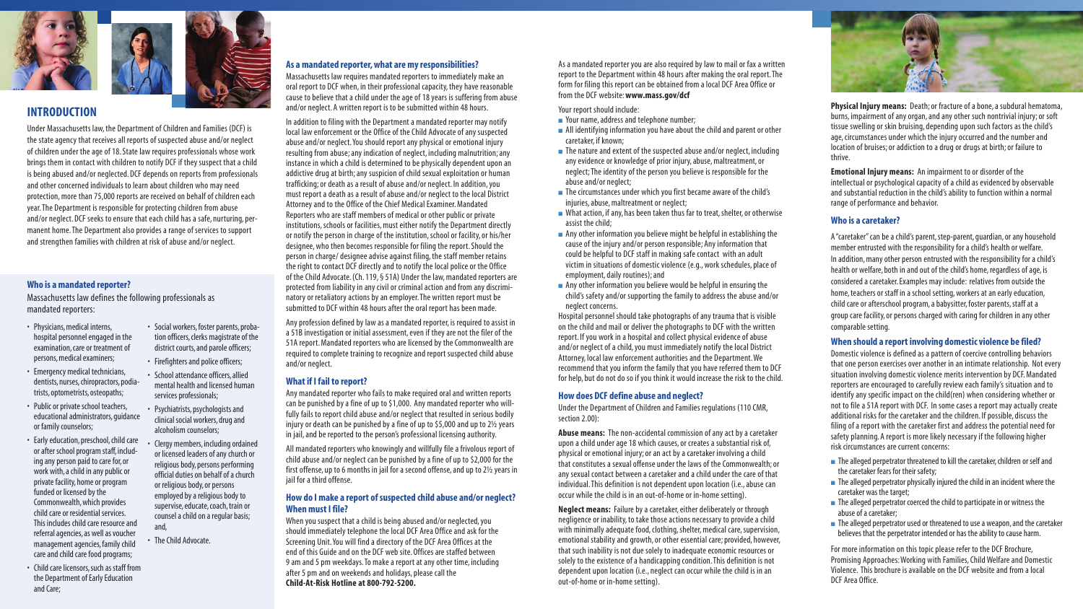#### **As a mandated reporter, what are my responsibilities?**

Massachusetts law requires mandated reporters to immediately make an oral report to DCF when, in their professional capacity, they have reasonable cause to believe that a child under the age of 18 years is suffering from abuse and/or neglect. A written report is to be submitted within 48 hours.

In addition to filing with the Department a mandated reporter may notify local law enforcement or the Office of the Child Advocate of any suspected abuse and/or neglect. You should report any physical or emotional injury resulting from abuse; any indication of neglect, including malnutrition; any instance in which a child is determined to be physically dependent upon an addictive drug at birth; any suspicion of child sexual exploitation or human trafficking; or death as a result of abuse and/or neglect. In addition, you must report a death as a result of abuse and/or neglect to the local District Attorney and to the Office of the Chief Medical Examiner. Mandated Reporters who are staff members of medical or other public or private institutions, schools or facilities, must either notify the Department directly or notify the person in charge of the institution, school or facility, or his/her designee, who then becomes responsible for filing the report. Should the person in charge/ designee advise against filing, the staff member retains the right to contact DCF directly and to notify the local police or the Office of the Child Advocate. (Ch. 119, § 51A) Under the law, mandated reporters are protected from liability in any civil or criminal action and from any discriminatory or retaliatory actions by an employer. The written report must be submitted to DCF within 48 hours after the oral report has been made.

All mandated reporters who knowingly and willfully file a frivolous report of child abuse and/or neglect can be punished by a fine of up to \$2,000 for the first offense, up to 6 months in jail for a second offense, and up to 2½ years in iail for a third offense.

Any profession defined by law as a mandated reporter, is required to assist in a 51B investigation or initial assessment, even if they are not the filer of the 51A report. Mandated reporters who are licensed by the Commonwealth are required to complete training to recognize and report suspected child abuse and/or neglect.

#### **What if I fail to report?**

Any mandated reporter who fails to make required oral and written reports can be punished by a fine of up to \$1,000. Any mandated reporter who willfully fails to report child abuse and/or neglect that resulted in serious bodily injury or death can be punished by a fine of up to \$5,000 and up to 2½ years in jail, and be reported to the person's professional licensing authority.

- Your name, address and telephone number;
- $\blacksquare$  All identifying information you have about the child and parent or other caretaker, if known;
- $\blacksquare$  The nature and extent of the suspected abuse and/or neglect, including any evidence or knowledge of prior injury, abuse, maltreatment, or neglect; The identity of the person you believe is responsible for the abuse and/or neglect;
- The circumstances under which you first became aware of the child's injuries, abuse, maltreatment or neglect;
- What action, if any, has been taken thus far to treat, shelter, or otherwise assist the child;
- Any other information you believe might be helpful in establishing the cause of the injury and/or person responsible; Any information that could be helpful to DCF staff in making safe contact with an adult victim in situations of domestic violence (e.g., work schedules, place of employment, daily routines); and
- Any other information you believe would be helpful in ensuring the child's safety and/or supporting the family to address the abuse and/or neglect concerns.

#### **How do I make a report of suspected child abuse and/or neglect? When must I file?**

When you suspect that a child is being abused and/or neglected, you should immediately telephone the local DCF Area Office and ask for the Screening Unit. You will find a directory of the DCF Area Offices at the end of this Guide and on the DCF web site. Offices are staffed between 9 am and 5 pm weekdays. To make a report at any other time, including after 5 pm and on weekends and holidays, please call the **Child-At-Risk Hotline at 800-792-5200.** 

As a mandated reporter you are also required by law to mail or fax a written report to the Department within 48 hours after making the oral report. The form for filing this report can be obtained from a local DCF Area Office or from the DCF website: **www.mass.gov/dcf**

Your report should include:

■ The alleged perpetrator threatened to kill the caretaker, children or self and the caretaker fears for their safety;

■ The alleged perpetrator physically injured the child in an incident where the caretaker was the target;

■ The alleged perpetrator coerced the child to participate in or witness the abuse of a caretaker;

■ The alleged perpetrator used or threatened to use a weapon, and the caretaker believes that the perpetrator intended or has the ability to cause harm.

Hospital personnel should take photographs of any trauma that is visible on the child and mail or deliver the photographs to DCF with the written report. If you work in a hospital and collect physical evidence of abuse and/or neglect of a child, you must immediately notify the local District Attorney, local law enforcement authorities and the Department. We recommend that you inform the family that you have referred them to DCF for help, but do not do so if you think it would increase the risk to the child.

#### **How does DCF define abuse and neglect?**

Under the Department of Children and Families regulations (110 CMR, section 2.00):

**Abuse means:** The non-accidental commission of any act by a caretaker upon a child under age 18 which causes, or creates a substantial risk of, physical or emotional injury; or an act by a caretaker involving a child that constitutes a sexual offense under the laws of the Commonwealth; or any sexual contact between a caretaker and a child under the care of that individual. This definition is not dependent upon location (i.e., abuse can occur while the child is in an out-of-home or in-home setting).

**Neglect means:** Failure by a caretaker, either deliberately or through negligence or inability, to take those actions necessary to provide a child with minimally adequate food, clothing, shelter, medical care, supervision, emotional stability and growth, or other essential care; provided, however, that such inability is not due solely to inadequate economic resources or solely to the existence of a handicapping condition. This definition is not dependent upon location (i.e., neglect can occur while the child is in an out-of-home or in-home setting).

**Physical Injury means:** Death; or fracture of a bone, a subdural hematoma, burns, impairment of any organ, and any other such nontrivial injury; or soft tissue swelling or skin bruising, depending upon such factors as the child's age, circumstances under which the injury occurred and the number and location of bruises; or addiction to a drug or drugs at birth; or failure to thrive.

**Emotional Injury means:** An impairment to or disorder of the intellectual or psychological capacity of a child as evidenced by observable and substantial reduction in the child's ability to function within a normal range of performance and behavior.

### **Who is a caretaker?**

A "caretaker" can be a child's parent, step-parent, guardian, or any household member entrusted with the responsibility for a child's health or welfare. In addition, many other person entrusted with the responsibility for a child's health or welfare, both in and out of the child's home, regardless of age, is considered a caretaker. Examples may include: relatives from outside the home, teachers or staff in a school setting, workers at an early education, child care or afterschool program, a babysitter, foster parents, staff at a group care facility, or persons charged with caring for children in any other comparable setting.

### **When should a report involving domestic violence be filed?**

Domestic violence is defined as a pattern of coercive controlling behaviors that one person exercises over another in an intimate relationship. Not every situation involving domestic violence merits intervention by DCF. Mandated reporters are encouraged to carefully review each family's situation and to identify any specific impact on the child(ren) when considering whether or not to file a 51A report with DCF. In some cases a report may actually create additional risks for the caretaker and the children. If possible, discuss the filing of a report with the caretaker first and address the potential need for safety planning. A report is more likely necessary if the following higher risk circumstances are current concerns:

For more information on this topic please refer to the DCF Brochure, Promising Approaches: Working with Families, Child Welfare and Domestic Violence. This brochure is available on the DCF website and from a local DCF Area Office.



- Physicians, medical interns, hospital personnel engaged in the examination, care or treatment of persons, medical examiners;
- Emergency medical technicians, dentists, nurses, chiropractors, podiatrists, optometrists, osteopaths;
- Public or private school teachers, educational administrators, guidance or family counselors;
- Early education, preschool, child care or after school program staff, including any person paid to care for, or work with, a child in any public or private facility, home or program funded or licensed by the Commonwealth, which provides child care or residential services. This includes child care resource and referral agencies, as well as voucher management agencies, family child care and child care food programs;
- Child care licensors, such as staff from the Department of Early Education and Care;
- Social workers, foster parents, probation officers, clerks magistrate of the district courts, and parole officers;
- Firefighters and police officers;
- School attendance officers, allied mental health and licensed human services professionals;
- Psychiatrists, psychologists and clinical social workers, drug and alcoholism counselors;
- Clergy members, including ordained or licensed leaders of any church or religious body, persons performing official duties on behalf of a church or religious body, or persons employed by a religious body to supervise, educate, coach, train or counsel a child on a regular basis; and,
- The Child Advocate.





# **INTRODUCTION**

Under Massachusetts law, the Department of Children and Families (DCF) is the state agency that receives all reports of suspected abuse and/or neglect of children under the age of 18. State law requires professionals whose work brings them in contact with children to notify DCF if they suspect that a child is being abused and/or neglected. DCF depends on reports from professionals and other concerned individuals to learn about children who may need protection, more than 75,000 reports are received on behalf of children each year. The Department is responsible for protecting children from abuse and/or neglect. DCF seeks to ensure that each child has a safe, nurturing, permanent home. The Department also provides a range of services to support and strengthen families with children at risk of abuse and/or neglect.

### **Who is a mandated reporter?**

Massachusetts law defines the following professionals as mandated reporters: